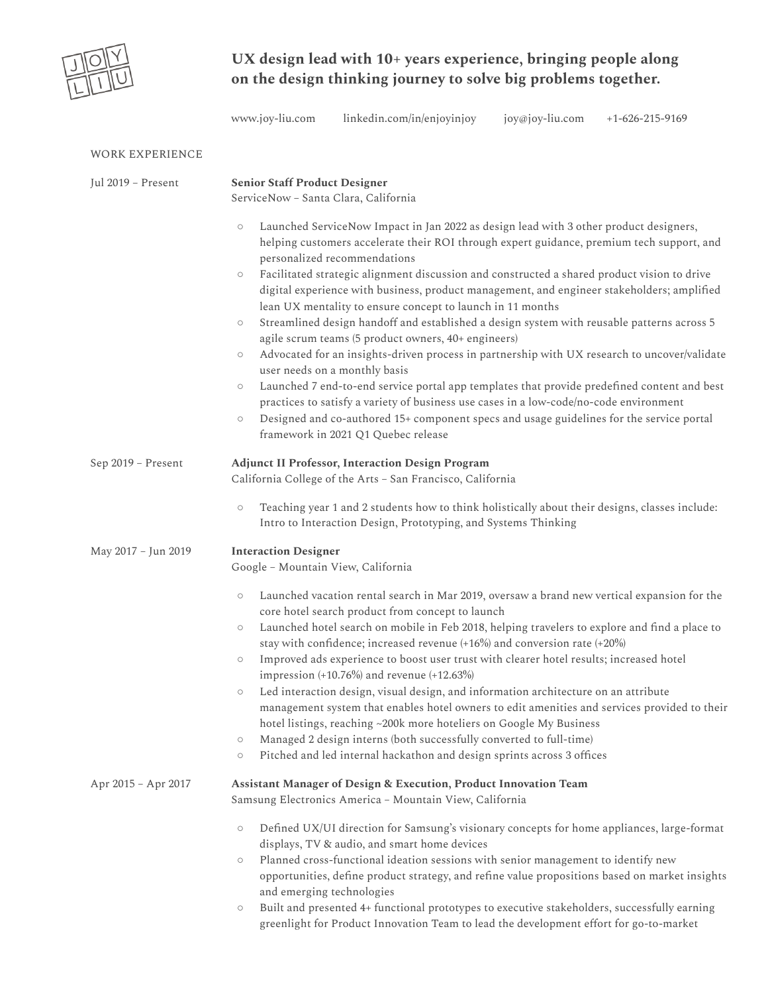

## **UX design lead with 10+ years experience, bringing people along on the design thinking journey to solve big problems together.**

| www.joy-liu.com | linkedin.com/in/enjoyinjoy | joy@joy-liu.com | $+1 - 626 - 215 - 9169$ |
|-----------------|----------------------------|-----------------|-------------------------|
|                 |                            |                 |                         |

| <b>WORK EXPERIENCE</b> |                                                                                                                                                                                                                                                                                                                                                                                                                                                                                                                                                                                                                                                                                                                                                                                                                                                                                                                                                                                                                                                                                                                                                                   |  |  |
|------------------------|-------------------------------------------------------------------------------------------------------------------------------------------------------------------------------------------------------------------------------------------------------------------------------------------------------------------------------------------------------------------------------------------------------------------------------------------------------------------------------------------------------------------------------------------------------------------------------------------------------------------------------------------------------------------------------------------------------------------------------------------------------------------------------------------------------------------------------------------------------------------------------------------------------------------------------------------------------------------------------------------------------------------------------------------------------------------------------------------------------------------------------------------------------------------|--|--|
| Jul 2019 - Present     | <b>Senior Staff Product Designer</b><br>ServiceNow - Santa Clara, California                                                                                                                                                                                                                                                                                                                                                                                                                                                                                                                                                                                                                                                                                                                                                                                                                                                                                                                                                                                                                                                                                      |  |  |
|                        | Launched ServiceNow Impact in Jan 2022 as design lead with 3 other product designers,<br>$\circ$<br>helping customers accelerate their ROI through expert guidance, premium tech support, and<br>personalized recommendations<br>Facilitated strategic alignment discussion and constructed a shared product vision to drive<br>$\circ$<br>digital experience with business, product management, and engineer stakeholders; amplified<br>lean UX mentality to ensure concept to launch in 11 months<br>Streamlined design handoff and established a design system with reusable patterns across 5<br>$\circ$<br>agile scrum teams (5 product owners, 40+ engineers)<br>Advocated for an insights-driven process in partnership with UX research to uncover/validate<br>$\circ$<br>user needs on a monthly basis<br>Launched 7 end-to-end service portal app templates that provide predefined content and best<br>$\circ$<br>practices to satisfy a variety of business use cases in a low-code/no-code environment<br>Designed and co-authored 15+ component specs and usage guidelines for the service portal<br>$\circ$<br>framework in 2021 Q1 Quebec release |  |  |
| Sep 2019 - Present     | <b>Adjunct II Professor, Interaction Design Program</b><br>California College of the Arts - San Francisco, California<br>Teaching year 1 and 2 students how to think holistically about their designs, classes include:<br>$\circ$<br>Intro to Interaction Design, Prototyping, and Systems Thinking                                                                                                                                                                                                                                                                                                                                                                                                                                                                                                                                                                                                                                                                                                                                                                                                                                                              |  |  |
| May 2017 - Jun 2019    | <b>Interaction Designer</b><br>Google - Mountain View, California                                                                                                                                                                                                                                                                                                                                                                                                                                                                                                                                                                                                                                                                                                                                                                                                                                                                                                                                                                                                                                                                                                 |  |  |
|                        | Launched vacation rental search in Mar 2019, oversaw a brand new vertical expansion for the<br>$\circ$<br>core hotel search product from concept to launch<br>Launched hotel search on mobile in Feb 2018, helping travelers to explore and find a place to<br>$\circ$<br>stay with confidence; increased revenue (+16%) and conversion rate (+20%)<br>Improved ads experience to boost user trust with clearer hotel results; increased hotel<br>$\circ$<br>impression (+10.76%) and revenue (+12.63%)<br>Led interaction design, visual design, and information architecture on an attribute<br>$\circ$<br>management system that enables hotel owners to edit amenities and services provided to their<br>hotel listings, reaching ~200k more hoteliers on Google My Business<br>Managed 2 design interns (both successfully converted to full-time)<br>$\circ$<br>Pitched and led internal hackathon and design sprints across 3 offices<br>$\circ$                                                                                                                                                                                                           |  |  |
| Apr 2015 - Apr 2017    | Assistant Manager of Design & Execution, Product Innovation Team<br>Samsung Electronics America - Mountain View, California<br>Defined UX/UI direction for Samsung's visionary concepts for home appliances, large-format<br>$\circ$<br>displays, TV & audio, and smart home devices<br>Planned cross-functional ideation sessions with senior management to identify new<br>$\circ$<br>opportunities, define product strategy, and refine value propositions based on market insights<br>and emerging technologies<br>Built and presented 4+ functional prototypes to executive stakeholders, successfully earning<br>$\circ$<br>greenlight for Product Innovation Team to lead the development effort for go-to-market                                                                                                                                                                                                                                                                                                                                                                                                                                          |  |  |